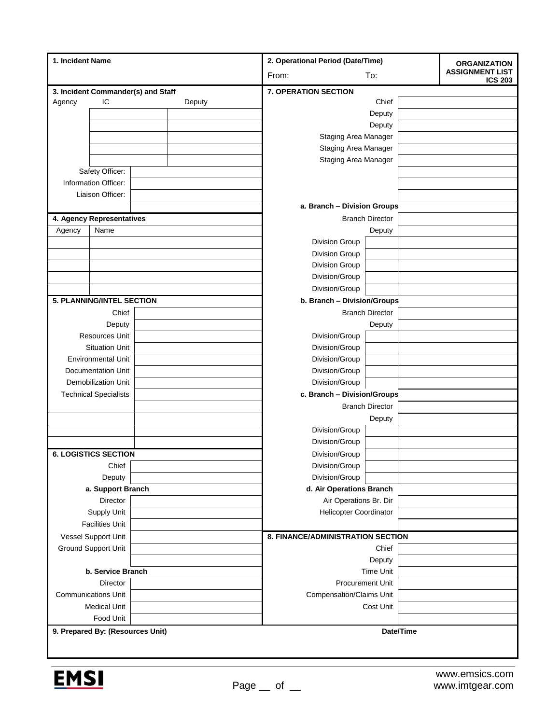| 1. Incident Name                           |                             |                                   | 2. Operational Period (Date/Time)<br>From:<br>To:          |                        | <b>ORGANIZATION</b>                      |  |
|--------------------------------------------|-----------------------------|-----------------------------------|------------------------------------------------------------|------------------------|------------------------------------------|--|
|                                            |                             |                                   |                                                            |                        | <b>ASSIGNMENT LIST</b><br><b>ICS 203</b> |  |
| 3. Incident Commander(s) and Staff         |                             |                                   | <b>7. OPERATION SECTION</b>                                |                        |                                          |  |
| Agency                                     | IC                          | Deputy                            |                                                            | Chief                  |                                          |  |
|                                            |                             |                                   |                                                            | Deputy                 |                                          |  |
|                                            |                             |                                   |                                                            | Deputy                 |                                          |  |
|                                            |                             |                                   | <b>Staging Area Manager</b><br><b>Staging Area Manager</b> |                        |                                          |  |
|                                            |                             |                                   | <b>Staging Area Manager</b>                                |                        |                                          |  |
|                                            | Safety Officer:             |                                   |                                                            |                        |                                          |  |
| Information Officer:                       |                             |                                   |                                                            |                        |                                          |  |
| Liaison Officer:                           |                             |                                   |                                                            |                        |                                          |  |
|                                            |                             |                                   | a. Branch - Division Groups                                |                        |                                          |  |
| 4. Agency Representatives                  |                             |                                   |                                                            | <b>Branch Director</b> |                                          |  |
| Agency                                     | Name                        |                                   |                                                            | Deputy                 |                                          |  |
|                                            |                             |                                   | <b>Division Group</b>                                      |                        |                                          |  |
|                                            |                             |                                   | <b>Division Group</b>                                      |                        |                                          |  |
|                                            |                             |                                   | <b>Division Group</b>                                      |                        |                                          |  |
|                                            |                             |                                   | Division/Group                                             |                        |                                          |  |
|                                            |                             |                                   | Division/Group                                             |                        |                                          |  |
|                                            | 5. PLANNING/INTEL SECTION   |                                   | b. Branch - Division/Groups                                |                        |                                          |  |
|                                            | Chief                       |                                   |                                                            | <b>Branch Director</b> |                                          |  |
|                                            | Deputy                      |                                   |                                                            | Deputy                 |                                          |  |
|                                            | Resources Unit              |                                   | Division/Group                                             |                        |                                          |  |
|                                            | <b>Situation Unit</b>       |                                   | Division/Group                                             |                        |                                          |  |
|                                            | <b>Environmental Unit</b>   |                                   | Division/Group                                             |                        |                                          |  |
| Documentation Unit                         |                             |                                   | Division/Group                                             |                        |                                          |  |
|                                            | <b>Demobilization Unit</b>  |                                   | Division/Group                                             |                        |                                          |  |
| <b>Technical Specialists</b>               |                             |                                   | c. Branch - Division/Groups                                |                        |                                          |  |
|                                            |                             |                                   |                                                            | <b>Branch Director</b> |                                          |  |
|                                            |                             |                                   |                                                            | Deputy                 |                                          |  |
|                                            |                             |                                   | Division/Group                                             |                        |                                          |  |
|                                            |                             |                                   | Division/Group                                             |                        |                                          |  |
|                                            | <b>6. LOGISTICS SECTION</b> |                                   | Division/Group                                             |                        |                                          |  |
|                                            | Chief                       |                                   | Division/Group                                             |                        |                                          |  |
| Deputy                                     |                             |                                   | Division/Group                                             |                        |                                          |  |
| a. Support Branch                          |                             |                                   | d. Air Operations Branch                                   |                        |                                          |  |
| Director                                   |                             | Air Operations Br. Dir            |                                                            |                        |                                          |  |
|                                            | Supply Unit                 |                                   | <b>Helicopter Coordinator</b>                              |                        |                                          |  |
|                                            | <b>Facilities Unit</b>      |                                   |                                                            |                        |                                          |  |
| Vessel Support Unit<br>Ground Support Unit |                             | 8. FINANCE/ADMINISTRATION SECTION |                                                            |                        |                                          |  |
|                                            |                             |                                   |                                                            | Chief                  |                                          |  |
| b. Service Branch                          |                             |                                   | Deputy<br><b>Time Unit</b>                                 |                        |                                          |  |
| Director                                   |                             |                                   | <b>Procurement Unit</b>                                    |                        |                                          |  |
| <b>Communications Unit</b>                 |                             | <b>Compensation/Claims Unit</b>   |                                                            |                        |                                          |  |
| <b>Medical Unit</b>                        |                             |                                   | Cost Unit                                                  |                        |                                          |  |
|                                            | Food Unit                   |                                   |                                                            |                        |                                          |  |
| 9. Prepared By: (Resources Unit)           |                             |                                   |                                                            |                        |                                          |  |
| Date/Time                                  |                             |                                   |                                                            |                        |                                          |  |
|                                            |                             |                                   |                                                            |                        |                                          |  |